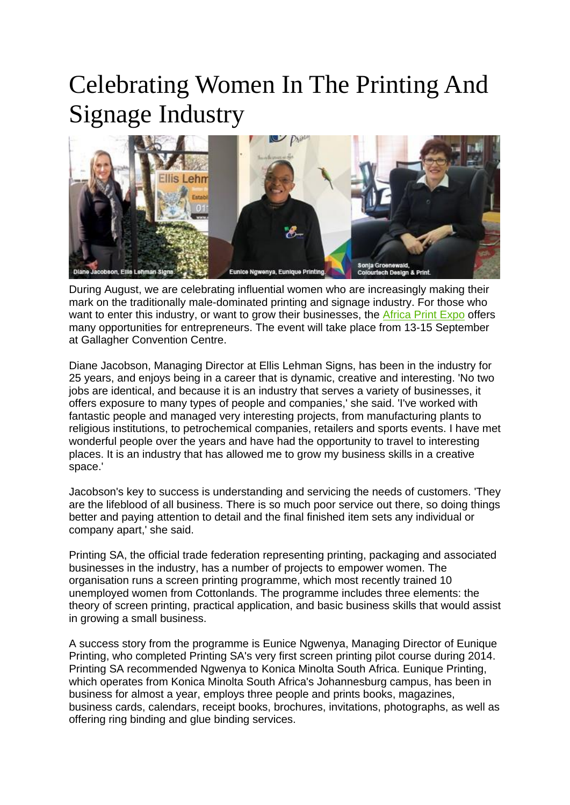## Celebrating Women In The Printing And Signage Industry



During August, we are celebrating influential women who are increasingly making their mark on the traditionally male-dominated printing and signage industry. For those who want to enter this industry, or want to grow their businesses, the [Africa Print Expo](http://www.africaprintexpo.com/) offers many opportunities for entrepreneurs. The event will take place from 13-15 September at Gallagher Convention Centre.

Diane Jacobson, Managing Director at Ellis Lehman Signs, has been in the industry for 25 years, and enjoys being in a career that is dynamic, creative and interesting. 'No two jobs are identical, and because it is an industry that serves a variety of businesses, it offers exposure to many types of people and companies,' she said. 'I've worked with fantastic people and managed very interesting projects, from manufacturing plants to religious institutions, to petrochemical companies, retailers and sports events. I have met wonderful people over the years and have had the opportunity to travel to interesting places. It is an industry that has allowed me to grow my business skills in a creative space.'

Jacobson's key to success is understanding and servicing the needs of customers. 'They are the lifeblood of all business. There is so much poor service out there, so doing things better and paying attention to detail and the final finished item sets any individual or company apart,' she said.

Printing SA, the official trade federation representing printing, packaging and associated businesses in the industry, has a number of projects to empower women. The organisation runs a screen printing programme, which most recently trained 10 unemployed women from Cottonlands. The programme includes three elements: the theory of screen printing, practical application, and basic business skills that would assist in growing a small business.

A success story from the programme is Eunice Ngwenya, Managing Director of Eunique Printing, who completed Printing SA's very first screen printing pilot course during 2014. Printing SA recommended Ngwenya to Konica Minolta South Africa. Eunique Printing, which operates from Konica Minolta South Africa's Johannesburg campus, has been in business for almost a year, employs three people and prints books, magazines, business cards, calendars, receipt books, brochures, invitations, photographs, as well as offering ring binding and glue binding services.